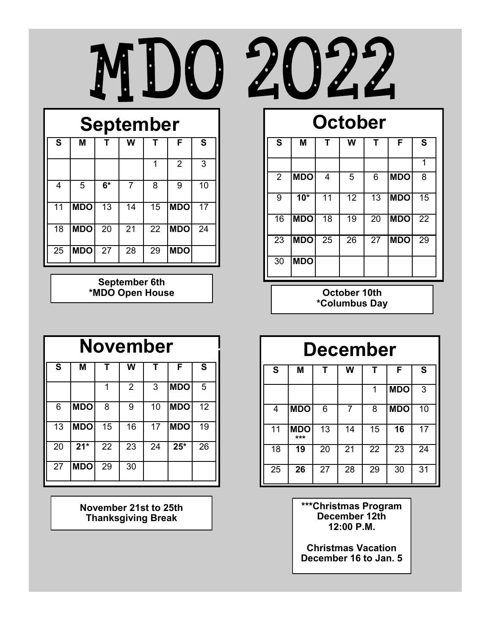



# **September**

| S  | M          | т    | W  | т  | F              | S  |
|----|------------|------|----|----|----------------|----|
|    |            |      |    | 1  | $\overline{2}$ | 3  |
| 4  | 5          | $6*$ | 7  | 8  | 9              | 10 |
| 11 | <b>MDO</b> | 13   | 14 | 15 | <b>MDO</b>     | 17 |
| 18 | <b>MDO</b> | 20   | 21 | 22 | <b>MDO</b>     | 24 |
| 25 | <b>MDO</b> | 27   | 28 | 29 | <b>MDO</b>     |    |

**September 6th \*MDO Open House October 10th**

# **October**

| S              | Μ          | т  | W  | т  | F          | S  |
|----------------|------------|----|----|----|------------|----|
|                |            |    |    |    |            | 1  |
| $\overline{2}$ | <b>MDO</b> | 4  | 5  | 6  | <b>MDO</b> | 8  |
| 9              | $10*$      | 11 | 12 | 13 | <b>MDO</b> | 15 |
| 16             | <b>MDO</b> | 18 | 19 | 20 | <b>MDO</b> | 22 |
| 23             | <b>MDO</b> | 25 | 26 | 27 | <b>MDO</b> | 29 |
| 30             | <b>MDO</b> |    |    |    |            |    |

**\*Columbus Day**

| <b>November</b> |            |    |                |    |            |    |  |  |  |
|-----------------|------------|----|----------------|----|------------|----|--|--|--|
| S               | M          |    | W              |    | F          | S  |  |  |  |
|                 |            | 1  | $\overline{2}$ | 3  | <b>MDO</b> | 5  |  |  |  |
| 6               | <b>MDO</b> | 8  | 9              | 10 | <b>MDO</b> | 12 |  |  |  |
| 13              | <b>MDO</b> | 15 | 16             | 17 | <b>MDO</b> | 19 |  |  |  |
| 20              | $21*$      | 22 | 23             | 24 | $25*$      | 26 |  |  |  |
| 27              | <b>MDO</b> | 29 | 30             |    |            |    |  |  |  |

**November 21st to 25th Thanksgiving Break**

## **December**

| $\mathbf s$ | M                 |    | W  | Т  | F          | S  |
|-------------|-------------------|----|----|----|------------|----|
|             |                   |    |    | 1  | <b>MDO</b> | 3  |
| 4           | <b>MDO</b>        | 6  | 7  | 8  | <b>MDO</b> | 10 |
| 11          | <b>MDO</b><br>*** | 13 | 14 | 15 | 16         | 17 |
| 18          | 19                | 20 | 21 | 22 | 23         | 24 |
| 25          | 26                | 27 | 28 | 29 | 30         | 31 |

**\*\*\*Christmas Program December 12th 12:00 P.M.**

**Christmas Vacation December 16 to Jan. 5**